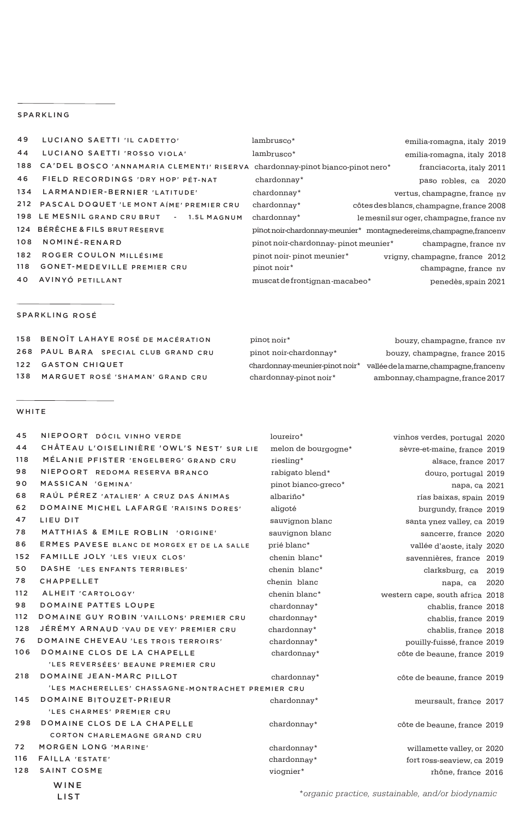## SPARKLING

| 49  | LUCIANO SAETTI 'IL CADETTO'                                                       | lambrusco*                           | emilia-romagna, italy 2019                                          |
|-----|-----------------------------------------------------------------------------------|--------------------------------------|---------------------------------------------------------------------|
| 44  | LUCIANO SAETTI 'ROSSO VIOLA'                                                      | lambrusco*                           | emilia-romagna, italy 2018                                          |
|     | 188 CA'DEL BOSCO 'ANNAMARIA CLEMENTI' RISERVA chardonnay-pinot bianco-pinot nero* |                                      | franciacorta, italy 2011                                            |
| 46  | FIELD RECORDINGS 'DRY HOP' PÉT-NAT                                                | chardonnay*                          | paso robles, ca 2020                                                |
|     | 134 LARMANDIER-BERNIER 'LATITUDE'                                                 | chardonnay*                          | vertus, champagne, france nv                                        |
|     | 212 PASCAL DOQUET 'LE MONT AIME' PREMIER CRU                                      | chardonnay*                          | côtes des blancs, champagne, france 2008                            |
|     | 198 LE MESNIL GRAND CRU BRUT - 1.5L MAGNUM                                        | chardonnay*                          | le mesnil sur oger, champagne, france ny                            |
|     | 124 BÉRÊCHE & FILS BRUT RESERVE                                                   |                                      | pinot noir-chardonnay-meunier* montagnedereims, champagne, francenv |
| 108 | NOMINÉ-RENARD                                                                     | pinot noir-chardonnay-pinot meunier* | champagne, france nv                                                |
| 182 | ROGER COULON MILLÉSIME                                                            | pinot noir-pinot meunier*            | vrigny, champagne, france 2012                                      |
| 118 | <b>GONET-MEDEVILLE PREMIER CRU</b>                                                | pinot noir*                          | champagne, france nv                                                |
|     | 40 AVINYÓ PETILLANT                                                               | muscat de frontignan-macabeo*        | penedès, spain 2021                                                 |

## SPARKLING ROSÉ

| 158 BENOÎT LAHAYE ROSÉ DE MACÉRATION | pinot noir*            | bouzy, champagne, france ny                                             |
|--------------------------------------|------------------------|-------------------------------------------------------------------------|
| 268 PAUL BARA SPECIAL CLUB GRAND CRU | pinot noir-chardonnay* | bouzy, champagne, france 2015                                           |
| 122 GASTON CHIQUET                   |                        | chardonnay-meunier-pinot noir* vallée de la marne, champagne, france ny |
| 138 MARGUET ROSÉ 'SHAMAN' GRAND CRU  | chardonnay-pinot noir* | ambonnay, champagne, france 2017                                        |

### WHITE

| 45  | NIEPOORT DÓCIL VINHO VERDE                         | loureiro*           | vinhos verdes, portugal 2020    |      |
|-----|----------------------------------------------------|---------------------|---------------------------------|------|
| 44  | CHÂTEAU L'OISELINIÈRE 'OWL'S NEST' SUR LIE         | melon de bourgogne* | sèvre-et-maine, france 2019     |      |
| 118 | MÉLANIE PFISTER 'ENGELBERG' GRAND CRU              | riesling*           | alsace, france 2017             |      |
| 98  | NIEPOORT REDOMA RESERVA BRANCO                     | rabigato blend*     | douro, portugal 2019            |      |
| 90  | MASSICAN 'GEMINA'                                  | pinot bianco-greco* | napa, ca 2021                   |      |
| 68  | RAÚL PÉREZ 'ATALIER' A CRUZ DAS ÁNIMAS             | albariño*           | rías baixas, spain 2019         |      |
| 62  | DOMAINE MICHEL LAFARGE 'RAISINS DORES'             | aligoté             | burgundy, france 2019           |      |
| 47  | LIEU DIT                                           | sauvignon blanc     | santa ynez valley, ca 2019      |      |
| 78  | MATTHIAS & EMILE ROBLIN 'ORIGINE'                  | sauvignon blanc     | sancerre, france 2020           |      |
| 86  | ERMES PAVESE BLANC DE MORGEX ET DE LA SALLE        | prié blanc*         | vallée d'aoste, italy 2020      |      |
| 152 | FAMILLE JOLY 'LES VIEUX CLOS'                      | chenin blanc*       | savennières, france 2019        |      |
| 50  | DASHE 'LES ENFANTS TERRIBLES'                      | chenin blanc*       | clarksburg, ca 2019             |      |
| 78  | <b>CHAPPELLET</b>                                  | chenin blanc        | napa, ca                        | 2020 |
| 112 | ALHEIT 'CARTOLOGY'                                 | chenin blanc*       | western cape, south africa 2018 |      |
| 98  | <b>DOMAINE PATTES LOUPE</b>                        | chardonnay*         | chablis, france 2018            |      |
| 112 | DOMAINE GUY ROBIN 'VAILLONS' PREMIER CRU           | chardonnay*         | chablis, france 2019            |      |
| 128 | JÉRÉMY ARNAUD 'VAU DE VEY' PREMIER CRU             | chardonnay*         | chablis, france 2018            |      |
| 76  | DOMAINE CHEVEAU 'LES TROIS TERROIRS'               | chardonnay*         | pouilly-fuissé, france 2019     |      |
| 106 | DOMAINE CLOS DE LA CHAPELLE                        | chardonnay*         | côte de beaune, france 2019     |      |
|     | 'LES REVERSÉES' BEAUNE PREMIER CRU                 |                     |                                 |      |
| 218 | DOMAINE JEAN-MARC PILLOT                           | chardonnay*         | côte de beaune, france 2019     |      |
|     | 'LES MACHERELLES' CHASSAGNE-MONTRACHET PREMIER CRU |                     |                                 |      |
| 145 | DOMAINE BITOUZET-PRIEUR                            | chardonnay*         | meursault, france 2017          |      |
|     | 'LES CHARMES' PREMIER CRU                          |                     |                                 |      |
| 298 | DOMAINE CLOS DE LA CHAPELLE                        | chardonnay*         | côte de beaune, france 2019     |      |
|     | CORTON CHARLEMAGNE GRAND CRU                       |                     |                                 |      |
| 72  | <b>MORGEN LONG 'MARINE'</b>                        | chardonnay*         | willamette valley, or 2020      |      |
| 116 | <b>FAILLA 'ESTATE'</b>                             | chardonnay*         | fort ross-seaview, ca 2019      |      |
| 128 | <b>SAINT COSME</b>                                 | viognier*           | rhône, france 2016              |      |
|     | WINE                                               |                     |                                 |      |

LIST

\**organic practice, sustainable, and/or biodynamic*